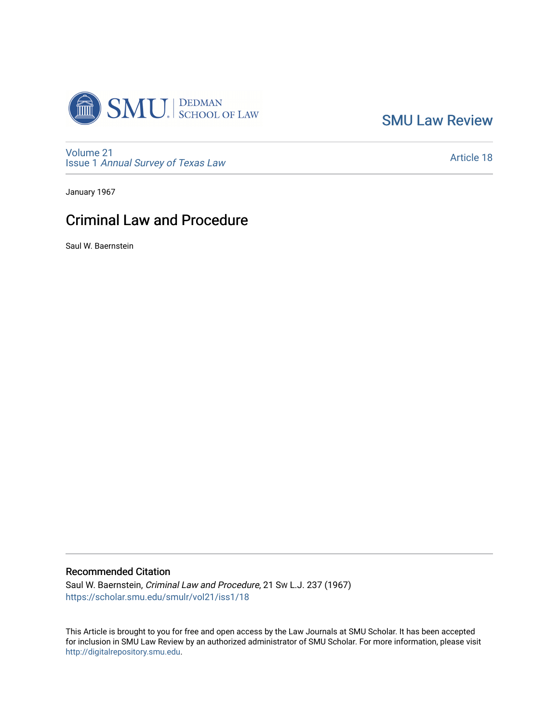

[SMU Law Review](https://scholar.smu.edu/smulr) 

[Volume 21](https://scholar.smu.edu/smulr/vol21) Issue 1 [Annual Survey of Texas Law](https://scholar.smu.edu/smulr/vol21/iss1) 

[Article 18](https://scholar.smu.edu/smulr/vol21/iss1/18) 

January 1967

# Criminal Law and Procedure

Saul W. Baernstein

## Recommended Citation

Saul W. Baernstein, Criminal Law and Procedure, 21 SW L.J. 237 (1967) [https://scholar.smu.edu/smulr/vol21/iss1/18](https://scholar.smu.edu/smulr/vol21/iss1/18?utm_source=scholar.smu.edu%2Fsmulr%2Fvol21%2Fiss1%2F18&utm_medium=PDF&utm_campaign=PDFCoverPages)

This Article is brought to you for free and open access by the Law Journals at SMU Scholar. It has been accepted for inclusion in SMU Law Review by an authorized administrator of SMU Scholar. For more information, please visit [http://digitalrepository.smu.edu.](http://digitalrepository.smu.edu/)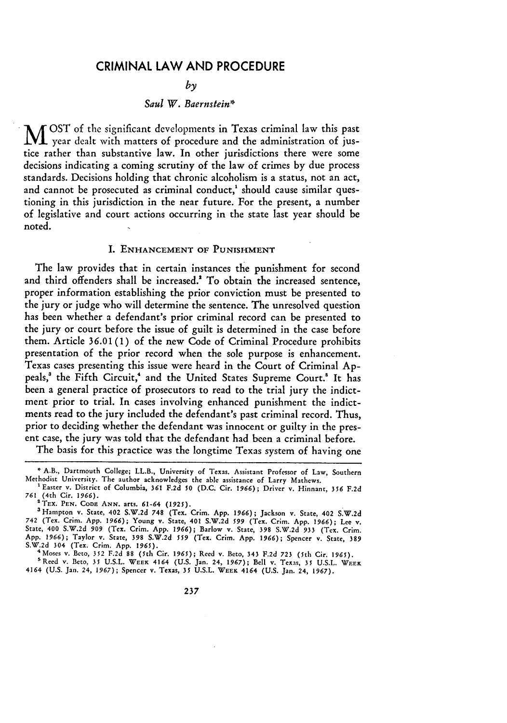## CRIMINAL LAW **AND** PROCEDURE

*by*

#### *Saul W. Baernstein\**

M OST of the significant developments in Texas criminal law this past year dealt with matters of procedure and the administration of justice rather than substantive law. In other jurisdictions there were some decisions indicating a coming scrutiny of the law of crimes by due process standards. Decisions holding that chronic alcoholism is a status, not an act, and cannot be prosecuted as criminal conduct,<sup>1</sup> should cause similar questioning in this jurisdiction in the near future. For the present, a number of legislative and court actions occurring in the state last year should be noted.

#### I. **ENHANCEMENT OF PUNISHMENT**

The law provides that in certain instances the punishment for second and third offenders shall be increased.' To obtain the increased sentence, proper information establishing the prior conviction must be presented to the jury or judge who will determine the sentence. The unresolved question has been whether a defendant's prior criminal record can be presented to the jury or court before the issue of guilt is determined in the case before them. Article **36.01 (1)** of the new Code of Criminal Procedure prohibits presentation of the prior record when the sole purpose is enhancement. Texas cases presenting this issue were heard in the Court of Criminal **Ap**peals,<sup>3</sup> the Fifth Circuit,<sup>4</sup> and the United States Supreme Court.<sup>5</sup> It has been a general practice of prosecutors to read to the trial jury the indictment prior to trial. In cases involving enhanced punishment the indictments read to the jury included the defendant's past criminal record. Thus, prior to deciding whether the defendant was innocent or guilty in the present case, the jury was told that the defendant had been a criminal before.

The basis for this practice was the longtime Texas system of having one

<sup>5</sup> Reed v. Beto, 35 U.S.L. WEEK 4164 (U.S. Jan. 24, 1967); Bell v. Texas, 35 U.S.L. WEEK<br>4164 (U.S. Jan. 24, 1967); Spencer v. Texas, 35 U.S.L. WEEK 4164 (U.S. Jan. 24, 1967).

**<sup>\*</sup>** A.B., Dartmouth College; LL.B., University of Texas. Assistant Professor of Law, Southern Methodist University. The author acknowledges the able assistance of Larry Mathews.

<sup>&#</sup>x27;Easter v. District of Columbia, **361** F.2d **50** (D.C. Cir. 1966); Driver v. Hinnant, *356* F.2d *761* (4th Cir. *1966).*

**<sup>2</sup>TEX. PEN. CODE ANN.** arts. 61-64 *(1925).*

<sup>3</sup>Hampton v. State, 402 S.W.2d **748** (Tex. Crim. **App.** *1966);* Jackson v. State, 402 S.W.2d 742 (Tex. Crim. App. *1966);* Young v. State, 401 S.W.2d *599* (Tex. Crim. App. 1966); Lee v. State, 400 S.W.2d *909* (Tex. Crim. **App.** *1966);* Barlow v. State, **398** S.W.2d **933** (Tex. Crim. **App.** 1966); Taylor v. State, **398** S.W.2d *559* (Tex. Crim. App. *1966);* Spencer v. State, **389** S.W.2d 304 (Tex. Crim. App. *1965).* 4 Moses v. Beto, 352 F.2d **88** (5th Cir. *1965);* Reed v. Beto, 343 **F.2d 723** (5th Cir. **1965).**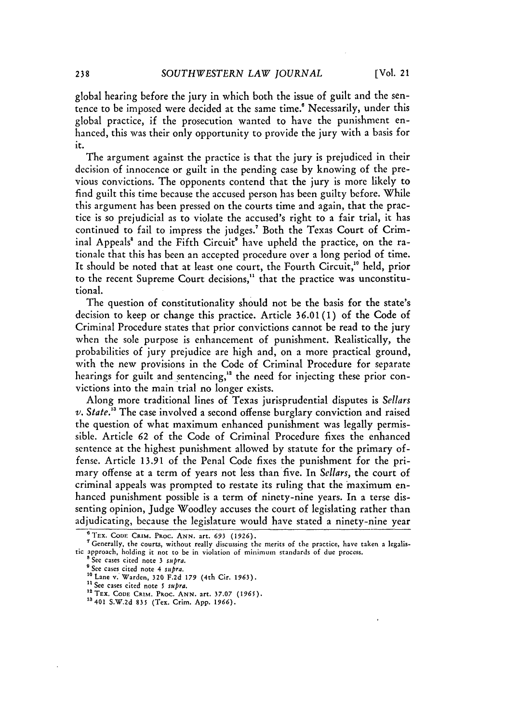global hearing before the jury in which both the issue of guilt and the sentence to be imposed were decided at the same time.' Necessarily, under this global practice, if the prosecution wanted to have the punishment enhanced, this was their only opportunity to provide the jury with a basis for it.

The argument against the practice is that the jury is prejudiced in their decision of innocence or guilt in the pending case by knowing of the previous convictions. The opponents contend that the jury is more likely to find guilt this time because the accused person has been guilty before. While this argument has been pressed on the courts time and again, that the practice is so prejudicial as to violate the accused's right to a fair trial, it has continued to fail to impress the judges.<sup>7</sup> Both the Texas Court of Criminal Appeals<sup>8</sup> and the Fifth Circuit<sup>9</sup> have upheld the practice, on the rationale that this has been an accepted procedure over a long period of time. It should be noted that at least one court, the Fourth Circuit,<sup>10</sup> held, prior to the recent Supreme Court decisions," that the practice was unconstitutional.

The question of constitutionality should not be the basis for the state's decision to keep or change this practice. Article **36.01** (1) of the Code of Criminal Procedure states that prior convictions cannot be read to the jury when the sole purpose is enhancement of punishment. Realistically, the probabilities of jury prejudice are high and, on a more practical ground, with the new provisions in the Code of Criminal Procedure for separate hearings for guilt and sentencing,<sup>12</sup> the need for injecting these prior convictions into the main trial no longer exists.

Along more traditional lines of Texas jurisprudential disputes is *Sellars v. State.'3* The case involved a second offense burglary conviction and raised the question of what maximum enhanced punishment was legally permissible. Article 62 of the Code of Criminal Procedure fixes the enhanced sentence at the highest punishment allowed by statute for the primary offense. Article 13.91 of the Penal Code fixes the punishment for the primary offense at a term of years not less than five. In *Sellars,* the court of criminal appeals was prompted to restate its ruling that the maximum enhanced punishment possible is a term of ninety-nine years. In a terse dissenting opinion, Judge Woodley accuses the court of legislating rather than adjudicating, because the legislature would have stated a ninety-nine year

<sup>&</sup>lt;sup>6</sup> TEX. CODE CRIM. PROC. ANN. art. 693 (1926).

r Generally, the courts, without really discussing the merits of the practice, have taken a legalistic approach, holding it not to be in violation of minimum standards of due process.

<sup>&</sup>lt;sup>8</sup> See cases cited note 3 supra.<br><sup>9</sup> See cases cited note 4 supra.

<sup>&</sup>lt;sup>10</sup> Lane v. Warden, 320 F.2d 179 (4th Cir. 1963).

<sup>&</sup>lt;sup>11</sup> See cases cited note 5 supra.

<sup>&</sup>lt;sup>12</sup> TEX. CODE CRIM. PROC. ANN. art. 37.07 (1965).<br><sup>13</sup> 401 S.W.2d 835 (Tex. Crim. App. 1966).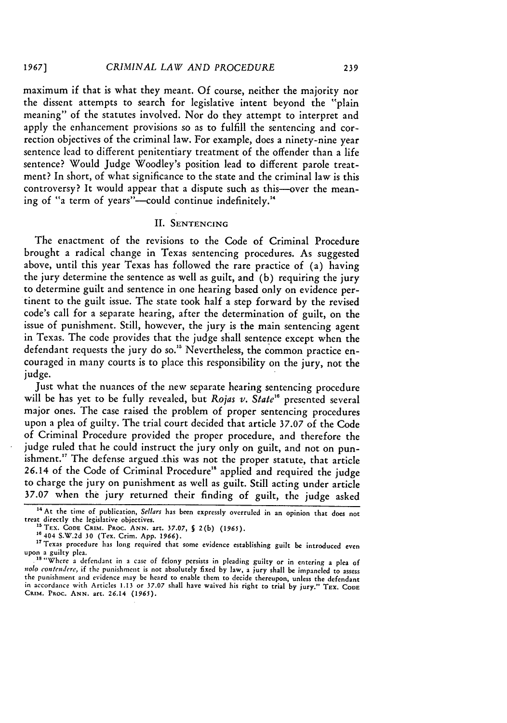maximum if that is what they meant. **Of** course, neither the majority nor the dissent attempts to search for legislative intent beyond the "plain meaning" of the statutes involved. Nor do they attempt to interpret and apply the enhancement provisions so as to fulfill the sentencing and correction objectives of the criminal law. For example, does a ninety-nine year sentence lead to different penitentiary treatment of the offender than a life sentence? Would Judge Woodley's position lead to different parole treatment? In short, of what significance to the state and the criminal law is this controversy? It would appear that a dispute such as this--over the meaning of "a term of years"--could continue indefinitely."

## **II.** SENTENCING

The enactment of the revisions to the Code of Criminal Procedure brought a radical change in Texas sentencing procedures. As suggested above, until this year Texas has followed the rare practice of (a) having the jury determine the sentence as well as guilt, and (b) requiring the jury to determine guilt and sentence in one hearing based only on evidence pertinent to the guilt issue. The state took half a step forward by the revised code's call for a separate hearing, after the determination of guilt, on the issue of punishment. Still, however, the jury is the main sentencing agent in Texas. The code provides that the judge shall sentence except when the defendant requests the jury do so.<sup>15</sup> Nevertheless, the common practice encouraged in many courts is to place this responsibility on the jury, not the judge.

Just what the nuances of the new separate hearing sentencing procedure will be has yet to be fully revealed, but *Rojas v. State<sup>16</sup>* presented several major ones. The case raised the problem of proper sentencing procedures upon a plea of guilty. The trial court decided that article 37.07 of the Code of Criminal Procedure provided the proper procedure, and therefore the judge ruled that he could instruct the jury only on guilt, and not on punishment.<sup>17</sup> The defense argued this was not the proper statute, that article 26.14 of the Code of Criminal Procedure'" applied and required the judge to charge the jury on punishment as well as guilt. Still acting under article 37.07 when the jury returned their finding of guilt, the judge asked

<sup>&</sup>lt;sup>14</sup> At the time of publication, Sellars has been expressly overruled in an opinion that does not treat directly the legislative objectives. <sup>5</sup> TEX. **CODE** CRIM. PRoC. ANN. art. **37.07, §** 2(b) (1965). **<sup>10</sup>**404 S.W.2d 30 (Tex. Crim. App. *1966).*

<sup>&</sup>lt;sup>17</sup> Texas procedure has long required that some evidence establishing guilt be introduced even upon a guilty plea.<br><sup>18</sup> "Where a defendant in a case of felony persists in pleading guilty or in entering a plea of

*nolo* contemiere, if the punishment is not absolutely fixed by law, a jury shall be impaneled to assess the punishment and evidence may be heard to enable them to decide thereupon, unless the defendant in accordance with Articles **1.13** or **37.07** shall have waived his right to trial by jury." **TEX. CODE** CRIM. **PRoc. ANN.** art. 26.14 (1965).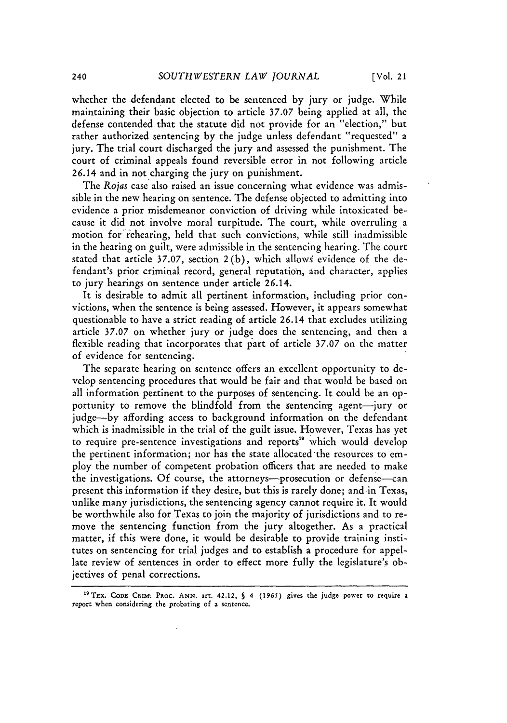whether the defendant elected to be sentenced by jury or judge. While maintaining their basic objection to article **37.07** being applied at all, the defense contended that the statute did not provide for an "election," but rather authorized sentencing by the judge unless defendant "requested" a jury. The trial court discharged the jury and assessed the punishment. The court of criminal appeals found reversible error in not following article 26.14 and in not charging the jury on punishment.

The *Rojas* case also raised an issue concerning what evidence was admissible in the new hearing on sentence. The defense objected to admitting into evidence a prior misdemeanor conviction of driving while intoxicated because it did not involve moral turpitude. The court, while overruling a motion for rehearing, held that such convictions, while still inadmissible in the hearing on guilt, were admissible in the sentencing hearing. The court stated that article 37.07, section 2(b), which allows evidence of the defendant's prior criminal record, general reputation, and character, applies to jury hearings on sentence under article 26.14.

It is desirable to admit all pertinent information, including prior convictions, when the sentence is being assessed. However, it appears somewhat questionable to have a strict reading of article 26.14 that excludes utilizing article **37.07** on whether jury or judge does the sentencing, and then a flexible reading that incorporates that part of article 37.07 on the matter of evidence for sentencing.

The separate hearing on sentence offers an excellent opportunity to develop sentencing procedures that would be fair and that would be based on all information pertinent to the purposes of sentencing. It could be an opportunity to remove the blindfold from the sentencing agent-jury or judge-by affording access to background information on the defendant which is inadmissible in the trial of the guilt issue. However, Texas has yet to require pre-sentence investigations and reports" which would develop the pertinent information; nor has the state allocated the resources to employ the number of competent probation officers that are needed to make the investigations. Of course, the attorneys-prosecution or defense-can present this information if they desire, but this is rarely done; and *in Texas*, unlike many jurisdictions, the sentencing agency cannot require it. It would be worthwhile also for Texas to join the majority of jurisdictions and to remove the sentencing function from the jury altogether. As a practical matter, if this were done, it would be desirable to provide training institutes on sentencing for trial judges and to establish a procedure for appellate review of sentences in order to effect more fully the legislature's objectives of penal corrections.

<sup>&#</sup>x27; <sup>9</sup> TEx. **CODE** CRIM-. Paoc. **ANN.** art, 42.12, **S 4 (1965)** gives the judge power to require a report when considering the probating of a sentence.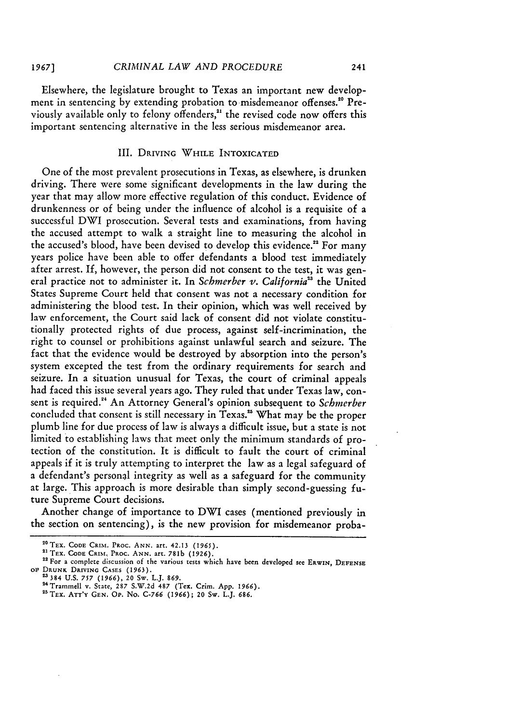Elsewhere, the legislature brought to Texas an important new development in sentencing by extending probation to misdemeanor offenses.<sup>20</sup> Previously available only to felony offenders,<sup>21</sup> the revised code now offers this important sentencing alternative in the less serious misdemeanor area.

241

## III. DRIVING WHILE INTOXICATED

One of the most prevalent prosecutions in Texas, as elsewhere, is drunken driving. There were some significant developments in the law during the year that may allow more effective regulation of this conduct. Evidence of drunkenness or of being under the influence of alcohol is a requisite of a successful DWI prosecution. Several tests and examinations, from having the accused attempt to walk a straight line to measuring the alcohol in the accused's blood, have been devised to develop this evidence.<sup>22</sup> For many years police have been able to offer defendants a blood test immediately after arrest. If, however, the person did not consent to the test, it was general practice not to administer it. In *Schmerber v. California*<sup>23</sup> the United States Supreme Court held that consent was not a necessary condition for administering the blood test. In their opinion, which was well received by law enforcement, the Court said lack of consent did not violate constitutionally protected rights of due process, against self-incrimination, the right to counsel or prohibitions against unlawful search and seizure. The fact that the evidence would be destroyed by absorption into the person's system excepted the test from the ordinary requirements for search and seizure. In a situation unusual for Texas, the court of criminal appeals had faced this issue several years ago. They ruled that under Texas law, consent is required.<sup>24</sup> An Attorney General's opinion subsequent to *Schmerber* concluded that consent is still necessary in Texas." What may be the proper plumb line for due process of law is always a difficult issue, but a state is not limited to establishing laws that meet only the minimum standards of protection of the constitution. It is difficult to fault the court of criminal appeals if it is truly attempting to interpret the law as a legal safeguard of a defendant's personal integrity as well as a safeguard for the community at large. This approach is more desirable than simply second-guessing future Supreme Court decisions.

Another change of importance to DWI cases (mentioned previously in the section on sentencing), is the new provision for misdemeanor proba-

<sup>&</sup>lt;sup>20</sup> TEX. CODE CRIM. PROC. ANN. art. 42.13 (1965).<br><sup>21</sup> TEX. CODE CRIM. PROC. ANN. art. 781b (1926).

<sup>&</sup>lt;sup>22</sup> For a complete discussion of the various tests which have been developed see ERWIN, DEFENSE **OF** DRUNK **DRIVING CASES (1963).** "384 **U.S.** *757* (1966), 20 Sw. L.J. 869.

<sup>2</sup> <sup>4</sup> Trammell v. State, 287 S.W.2d **487** (Tex. Crim. App. 1966). 2'5 Tx. ATT'Y **GEN. OP.** No. C-766 (1966); 20 Sw. L.J. 686.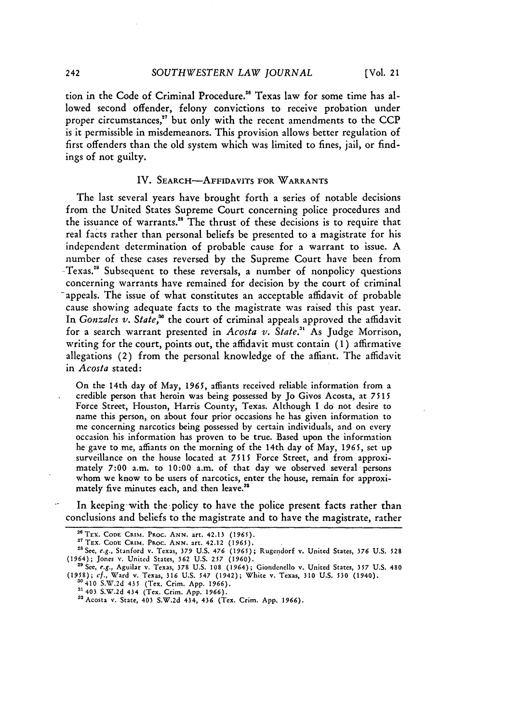tion in the Code of Criminal Procedure. " Texas law for some time has allowed second offender, felony convictions to receive probation under proper circumstances,<sup>27</sup> but only with the recent amendments to the CCP is it permissible in misdemeanors. This provision allows better regulation of first offenders than the old system which was limited to fines, jail, or findings of not guilty.

#### IV. **SEARCH-AFFIDAVITS** FOR WARRANTS

The last several years have brought forth a series of notable decisions from the United States Supreme Court concerning police procedures and the issuance of warrants." The thrust of these decisions is to require that real facts rather than personal beliefs **be** presented to a magistrate for his independent determination of probable cause for a warrant to issue. A number of these cases reversed **by** the Supreme Court have been from Texas.29 Subsequent to these reversals, a number of nonpolicy questions concerning warrants have remained for decision **by** the court of criminal appeals. The issue of what constitutes an acceptable affidavit of probable cause showing adequate facts to the magistrate was raised this past year. In *Gonzales v. State*,<sup>30</sup> the court of criminal appeals approved the affidavit for a search warrant presented in *Acosta v. State.31* As Judge Morrison, writing for the court, points out, the affidavit must contain **(1)** affirmative allegations (2) from the personal knowledge of the affiant. The affidavit in *Acosta* stated:

On the 14th day of May, **1965,** affiants received reliable information from a credible person that heroin was being possessed by Jo Givos Acosta, at **7515** Force Street, Houston, Harris County, Texas. Although I do not desire to name this person, on about four prior occasions he has given information to me concerning narcotics being possessed by certain individuals, and on every occasion his information has proven to be true. Based upon the information he gave to me, affiants on the morning of the 14th day of May, **1965,** set up surveillance on the house located at **7515** Force Street, and from approximately **7:00** a.m. to 10:00 a.m. of that day we observed several persons whom we know to be users of narcotics, enter the house, remain for approximately five minutes each, and then leave.<sup>32</sup>

In keeping-with the policy to have the police present facts rather than conclusions and beliefs to the magistrate and to have the magistrate, rather

<sup>&</sup>lt;sup>26</sup> TEX. CODE CRIM. PROC. ANN. art. 42.13 (1965).<br><sup>27</sup> TEX. CODE CRIM. PROC. ANN. art. 42.12 (1965).

<sup>&</sup>lt;sup>27</sup> TEX. CODE CRIM. PROC. ANN. art. 42.12 **(1965)**.<br><sup>28</sup> See, e.g., Stanford v. Texas, 379 U.S. 476 *(*1965); Rugendorf v. United States, 376 U.S. 528

<sup>(1964);</sup> Jones v. United States, **362** U.S. 257 (1960). **"'** See, e.g., Aguilar v. Texas, **378** U.S. 108 (1964); Giondenello v. United States, *357* U.S. 480

<sup>(1958);</sup> **cf.,** Ward v. Texas, 316 U.S. *547* (1942); White v. Texas, 310 U.S. **530** (1940). 30410 S.W.2d 435 (Tex. Crim. App. 1966). 31403 S.W.2d 434 (Tex. Crim. App. 1966).

a2Acosta v. State, 403 S.W.2d 434, 436 (Tex. Crim. App. *1966).*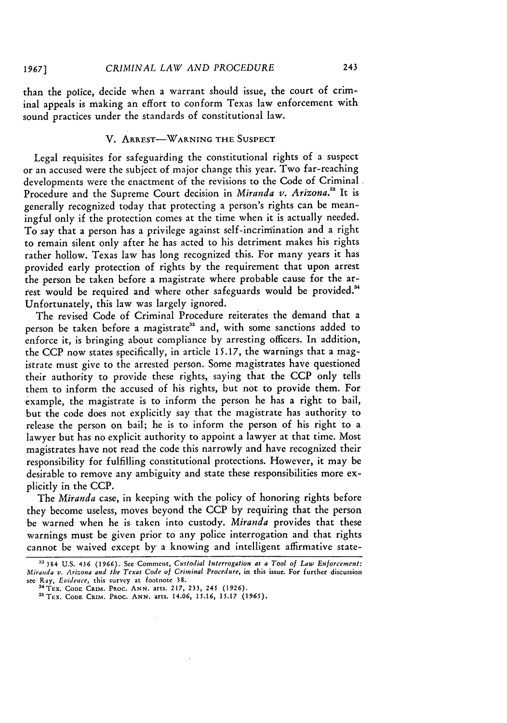*1967]*

than the police, decide when a warrant should issue, the court of criminal appeals is making an effort to conform Texas law enforcement with sound practices under the standards of constitutional law.

## **V.** ARREST-WARNING THE **SUSPECT**

Legal requisites for safeguarding the constitutional rights of a suspect or an accused were the subject of major change this year. Two far-reaching developments were the enactment of the revisions to the Code of Criminal Procedure and the Supreme Court decision in *Miranda v. Arizona.33* It is generally recognized today that protecting a person's rights can be meaningful only if the protection comes at the time when it is actually needed. To say that a person has a privilege against self -incrinination and a right to remain silent only after he has acted to his detriment makes his rights rather hollow. Texas law has long recognized this. For many years it has provided early protection of rights by the requirement that upon arrest the person be taken before a magistrate where probable cause for the arrest would be required and where other safeguards would be provided.<sup>34</sup> Unfortunately, this law was largely ignored.

The revised Code of Criminal Procedure reiterates the demand that a person be taken before a magistrate<sup>35</sup> and, with some sanctions added to enforce it, is bringing about compliance by arresting officers. In addition, the CCP now states specifically, in article 15.17, the warnings that a magistrate must give to the arrested person. Some magistrates have questioned their authority to provide these rights, saying that the CCP only tells them to inform the accused of his rights, but not to provide them. For example, the magistrate is to inform the person he has a right to bail, but the code does not explicitly say that the magistrate has authority to release the person on bail; he is to inform the person of his right to a lawyer but has no explicit authority to appoint a lawyer at that time. Most magistrates have not read the code this narrowly and have recognized their responsibility for fulfilling constitutional protections. However, it may be desirable to remove any ambiguity and state these responsibilities more explicitly in the CCP.

The *Miranda* case, in keeping with the policy of honoring rights before they become useless, moves beyond the CCP by requiring that the person be warned when he is taken into custody. *Miranda* provides that these warnings must be given prior to any police interrogation and that rights cannot be waived except by a knowing and intelligent affirmative state-

**<sup>33 384</sup> U.S. 436 (1966).** See Comment, *Custodial Interrogation as a Tool of Law Enforcement: Miranda v. Arizona and the Texas Code of Criminal Procedure,* in this issue. **For** further discussion see **Ray,** *Evidence,* this survey **at** footnote **38.**

a'TEx. **CODE** *CRIM.* PRoc. **ANN.** arts. **217, 233,** 245 **(1926).**

<sup>35</sup> TEX. CODE CRIM. PROC. ANN. arts. 14.06, 15.16, 15.17 (1965)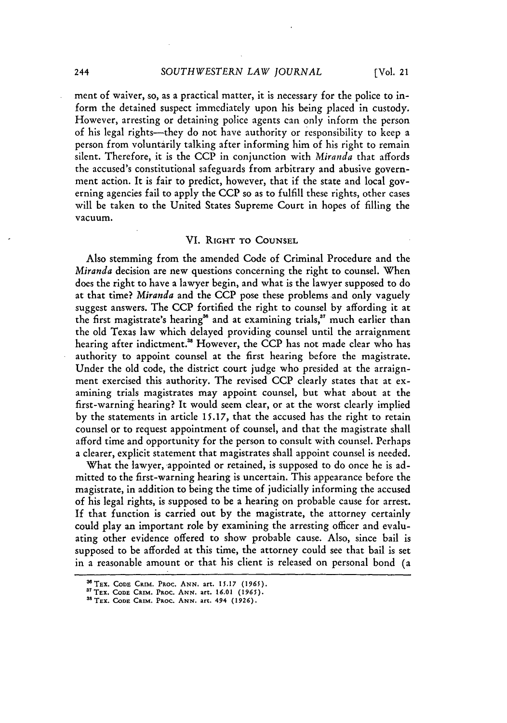ment of waiver, so, as a practical matter, it is necessary for the police to inform the detained suspect immediately upon his being placed in custody. However, arresting or detaining police agents can only inform the person of his legal rights-they do not have authority or responsibility to keep a person from voluntarily talking after informing him of his right to remain silent. Therefore, it is the CCP in conjunction with *Miranda* that affords the accused's constitutional safeguards from arbitrary and abusive government action. It is fair to predict, however, that if the state and local governing agencies fail to apply the CCP so as to fulfill these rights, other cases will be taken to the United States Supreme Court in hopes of filling the vacuum.

#### VI. **RIGHT** TO **COUNSEL**

Also stemming from the amended Code of Criminal Procedure and the *Miranda* decision are new questions concerning the right to counsel. When does the right to have a lawyer begin, and what is the lawyer supposed to do at that time? *Miranda* and the **CCP** pose these problems and only vaguely suggest answers. The **CCP** fortified the right to counsel **by** affording it at the first magistrate's hearing<sup>36</sup> and at examining trials,<sup>37</sup> much earlier than the old Texas law which delayed providing counsel until the arraignment hearing after indictment.<sup>38</sup> However, the CCP has not made clear who has authority to appoint counsel at the first hearing before the magistrate. Under the old code, the district court **judge** who presided at the arraignment exercised this authority. The revised **CCP** clearly states that at examining trials magistrates may appoint counsel, but what about at the first-warning hearing? It would seem clear, or at the worst clearly implied by the statements in article **15.17,** that the accused has the right to retain counsel or to request appointment of counsel, and that the magistrate shall afford time and opportunity for the person to consult with counsel. Perhaps a clearer, explicit statement that magistrates shall appoint counsel is needed.

What the lawyer, appointed or retained, is supposed to do once he is admitted to the first-warning hearing is uncertain. This appearance before the magistrate, in addition to being the time of judicially informing the accused of his legal rights, is supposed to be a hearing on probable cause for arrest. **If** that function is carried out by the magistrate, the attorney certainly could play an important role by examining the arresting officer and evaluating other evidence offered to show probable cause. Also, since bail is supposed to be afforded at this time, the attorney could see that bail is set in a reasonable amount or that his client is released on personal bond (a

244

TEX. **CODE CalM. PROC. ANN.** art. **15.17 (1965).**

**<sup>37</sup> TEX. CODE CRIM. PROC. ANN. art. 16.01 (1965).** 

**<sup>&#</sup>x27;TEX. CODE CRIM. PROC. ANN. art. 494 (1926).**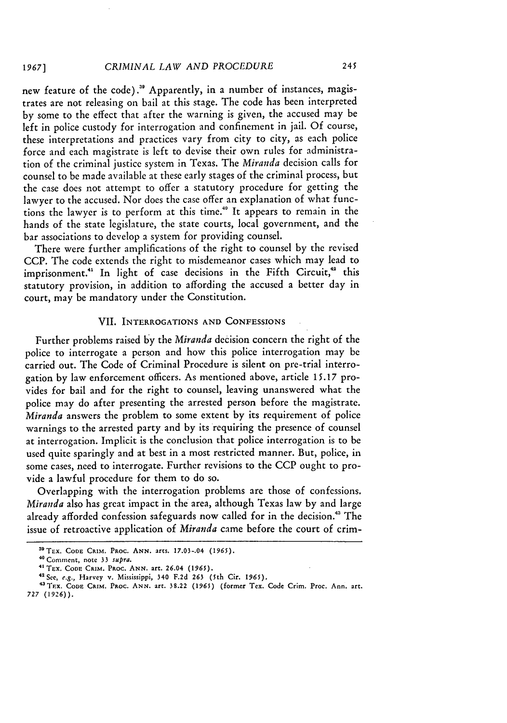new feature of the code)." Apparently, in a number of instances, magistrates are not releasing on bail at this stage. The code has been interpreted by some to the effect that after the warning is given, the accused may be left in police custody for interrogation and confinement in jail. Of course, these interpretations and practices vary from city to city, as each police force and each magistrate is left to devise their own rules for administration of the criminal justice system in Texas. The *Miranda* decision calls for counsel to **be** made available at these early stages of the criminal process, but the case does not attempt to offer a statutory procedure for getting the lawyer to the accused. Nor does the case offer an explanation of what functions the lawyer is to perform at this time."0 It appears to remain in the hands of the state legislature, the state courts, local government, and the bar associations to develop a system for providing counsel.

There were further amplifications of the right to counsel by the revised CCP. The code extends the right to misdemeanor cases which may lead to imprisonment.<sup>41</sup> In light of case decisions in the Fifth Circuit,<sup>42</sup> this statutory provision, in addition to affording the accused a better day in court, may be mandatory under the Constitution.

### VII. INTERROGATIONS **AND CONFESSIONS**

Further problems raised by the *Miranda* decision concern the right of the police to interrogate a person and how this police interrogation may be carried out. The Code of Criminal Procedure is silent on pre-trial interrogation by law enforcement officers. As mentioned above, article 15.17 provides for bail and for the right to counsel, leaving unanswered what the police may do after presenting the arrested person before the magistrate. *Miranda* answers the problem to some extent by its requirement of police warnings to the arrested party and by its requiring the presence of counsel at interrogation. Implicit is the conclusion that police interrogation is to be used quite sparingly and at best in a most restricted manner. But, police, in some cases, need to interrogate. Further revisions to the CCP ought to provide a lawful procedure for them to do so.

Overlapping with the interrogation problems are those of confessions. *Miranda* also has great impact in the area, although Texas law by and large already afforded confession safeguards now called for in the decision." The issue of retroactive application of *Miranda* came before the court of crim-

<sup>&</sup>lt;sup>39</sup> TEX. CODE CRIM. PROC. ANN. arts. 17.03-.04 (1965).

<sup>4&#</sup>x27; Comment, note **33** *supra.*

<sup>4</sup>'TEx. **CODE CRIM.** PRoc. **ANN.** art. **26.04 (1965).**

<sup>42</sup> See, *e.g.,* Harvey v. Mississippi, **340 F.2d 263** (5th Cir. **1965).**

**<sup>4</sup> aT.x. CODE CRIM. Paoc. ANN.** art. **38.22 (1965) (former** Tex. **Code** Crim. **Proc.** Ann. art. **727 (1926)).**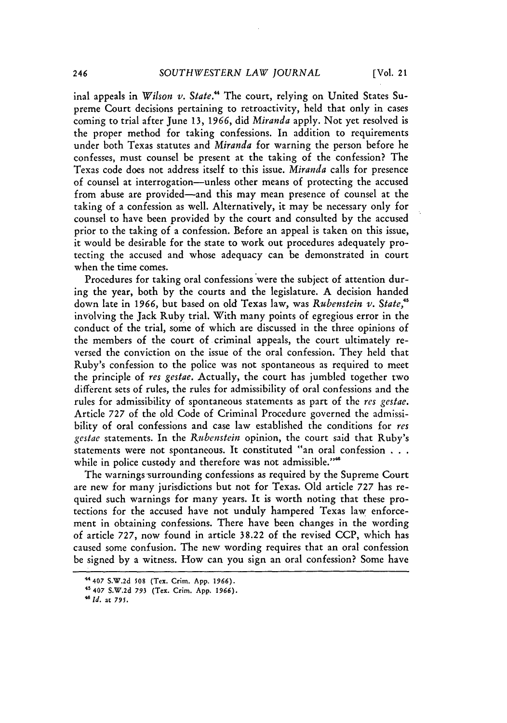inal appeals in *Wilson v. State."* The court, relying on United States Supreme Court decisions pertaining to retroactivity, held that only in cases coming to trial after June 13, 1966, did *Miranda* apply. Not yet resolved is the proper method for taking confessions. In addition to requirements under both Texas statutes and *Miranda* for warning the person before he confesses, must counsel be present at the taking of the confession? The Texas code does not address itself to this issue. *Miranda* calls for presence of counsel at interrogation-unless other means of protecting the accused from abuse are provided-and this may mean presence of counsel at the taking of a confession as well. Alternatively, it may be necessary only for counsel to have been provided by the court and consulted by the accused prior to the taking of a confession. Before an appeal is taken on this issue, it would be desirable for the state to work out procedures adequately protecting the accused and whose adequacy can be demonstrated in court when the time comes.

Procedures for taking oral confessions were the subject of attention during the year, both by the courts and the legislature. A decision handed down late in **1966,** but based on old Texas law, was *Rubenstein v. State,4 <sup>5</sup>* involving the Jack Ruby trial. With many points of egregious error in the conduct of the trial, some of which are discussed in the three opinions of the members of the court of criminal appeals, the court ultimately reversed the conviction on the issue of the oral confession. They held that Ruby's confession to the police was not spontaneous as required to meet the principle of *res gestae.* Actually, the court has jumbled together two different sets of rules, the rules for admissibility of oral confessions and the rules for admissibility of spontaneous statements as part of the *res gestae.* Article 727 of the old Code of Criminal Procedure governed the admissibility of oral confessions and case law established the conditions for *res gestae* statements. In the *Rubenstein* opinion, the court said that Ruby's statements were not spontaneous. It constituted "an oral confession **. . .** while in police custody and therefore was not admissible."<sup>46</sup>

The warnings surrounding confessions as required by the Supreme Court are new for many jurisdictions but not for Texas. Old article 727 has required such warnings for many years. It is worth noting that these protections for the accused have not unduly hampered Texas law enforcement in obtaining confessions. There have been changes in the wording of article 727, now found in article 38.22 of the revised CCP, which has caused some confusion. The new wording requires that an oral confession be signed by a witness. How can you sign an oral confession? Some have

<sup>4</sup> **"407 S.W.2d \$08 (Tex.** Crim. **App. 1966).**

<sup>4&#</sup>x27; **407 S.W.2d 793** (Tex. Crim. **App. 1966).**

*<sup>&</sup>quot; Id.* at *795.*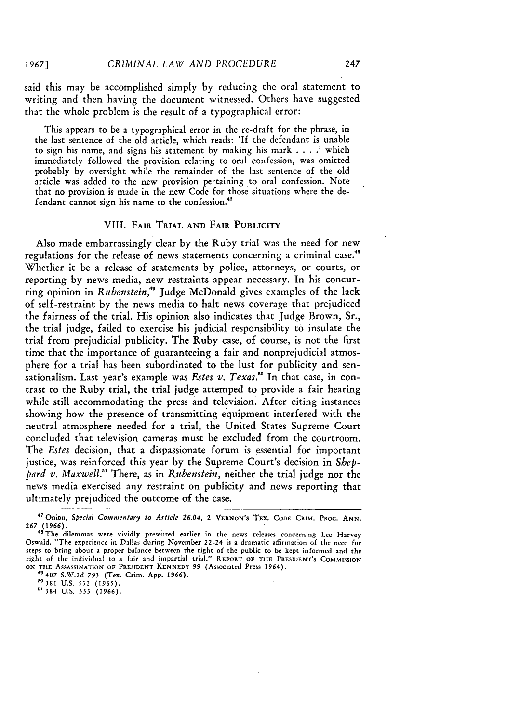*1967]*

said this may be accomplished simply by reducing the oral statement to writing and then having the document witnessed. Others have suggested that the whole problem is the result of a typographical error:

This appears to be a typographical error in the re-draft for the phrase, in the last sentence of the old article, which reads: **'If** the defendant is unable to sign his name, and signs his statement by making his mark . **. . .'** which immediately followed the provision relating to oral confession, was omitted probably by oversight while the remainder of the last sentence of the old article was added to the new provision pertaining to oral confession. Note that no provision is made in the new Code for those situations where the **de**fendant cannot sign his name to the confession."

#### VIII. FAIR TRIAL **AND** FAIR PUBLICITY

Also made embarrassingly clear by the Ruby trial was the need for new regulations for the release of news statements concerning a criminal case." Whether it be a release of statements by police, attorneys, or courts, or reporting by news media, new restraints appear necessary. In his concurring opinion in *Rubenstein,4* Judge McDonald gives examples of the lack of self-restraint by the news media to halt news coverage that prejudiced the fairness of the trial. His opinion also indicates that Judge Brown, Sr., the trial judge, failed to exercise his judicial responsibility to insulate the trial from prejudicial publicity. The Ruby case, of course, is not the first time that the importance of guaranteeing a fair and nonprejudicial atmosphere for a trial has been subordinated to the lust for publicity and sensationalism. Last year's example was *Estes v. Texas."0* In that case, in contrast to the Ruby trial, the trial judge attemped to provide a fair hearing while still accommodating the press and television. After citing instances showing how the presence of transmitting equipment interfered with the neutral atmosphere needed for a trial, the United States Supreme Court concluded that television cameras must be excluded from the courtroom. The *Estes* decision, that a dispassionate forum is essential for important justice, was reinforced this year by the Supreme Court's decision in *Sheppard v. Maxwell."1* There, as in *Rubenstein,* neither the trial judge nor the news media exercised any restraint on publicity and news reporting that ultimately prejudiced the outcome of the case.

**<sup>47</sup>**Onion, *Special Commentary to Article 26.04,* <sup>2</sup>**VERNON'S** TEX. **CODE** CRIM. PROC. **ANN.** *267 (1966).* **" The** dilcmmas were vividly presented earlier in the news releases concerning Lee Harvey

Oswald. "The experience in Dallas during November 22-24 is a dramatic affirmation of the need for steps to bring about a proper balance between the right of the public to be kept informed and the right of the individual to a fair and impartial trial." REPORT **OF THE PRESIDENT'S COMMISSION ON THE ASSASSINATION OF PRESIDENT KENNEDY 99** (Associated Press **1964).**

<sup>49407</sup>**S.W.2d** *793* **(Tex. Crim. App.** *1966).* **"s381** U.S. **532 (1965).**

<sup>&</sup>quot; 384 U.S. **333** *(1966).*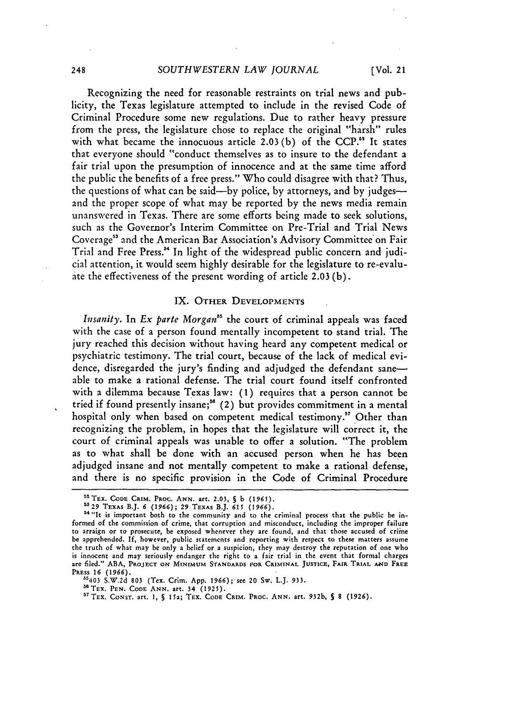Recognizing the need for reasonable restraints on trial news and publicity, the Texas legislature attempted to include in the revised Code of Criminal Procedure some new regulations. Due to rather heavy pressure from the press, the legislature chose to replace the original "harsh" rules with what became the innocuous article 2.03 (b) of the **CCP."** It states that everyone should "conduct themselves as to insure to the defendant a fair trial upon the presumption of innocence and at the same time afford the public the benefits of a free press." Who could disagree with that? Thus, the questions of what can be said—by police, by attorneys, and by judges and the proper scope of what may be reported by the news media remain unanswered in Texas. There are some efforts being made to seek solutions, such as the Governor's Interim Committee on Pre-Trial and Trial News Coverage"3 and the American Bar Association's Advisory Committee' on Fair Trial and Free Press."' In light of the widespread public concern and judicial attention, it would seem highly desirable for the legislature to re-evaluate the effectiveness of the present wording of article 2.03 (b).

#### IX. OTHER **DEVELOPMENTS**

*Insanity.* In *Ex parte Morgan"'* the court of criminal appeals was faced with the case of a person found mentally incompetent to stand trial. The jury reached this decision without having heard any competent medical or psychiatric testimony. The trial court, because of the lack of medical evidence, disregarded the jury's finding and adjudged the defendant saneable to make a rational defense. The trial court found itself confronted with a dilemma because Texas law: **(1)** requires that a person cannot be tried if found presently insane;<sup>56</sup> (2) but provides commitment in a mental hospital only when based on competent medical testimony.'" Other than recognizing the problem, in hopes that the legislature will correct it, the court of criminal appeals was unable to offer a solution. "The problem as to what shall be done with an accused person when he has been adjudged insane and not mentally competent to make a rational defense, and there is no specific provision in the Code of Criminal Procedure

<sup>5</sup> 'TEX. **CODE CRiM. PRoc. ANN.** art. **2.03, S** b **(1965).**

<sup>&</sup>lt;sup>53</sup> 29 TEXAS B.J. 6 (1966); 29 TEXAS B.J. 615 (1966).<br><sup>54</sup> "It is important both to the community and to the criminal process that the public be informed of the commission of crime, that corruption and misconduct, including the improper failure to arraign or to prosecute, **be** exposed whenever they are found, and that those accused of crime be apprehended. **If,** however, public statements and reporting with respect to these matters assume the truth of what may be only a belief or a suspicion, they may destroy the reputation of one who is innocent and may seriously endanger the right to a fair trial in the event that formal charges are **filed." ABA,** PROJECT **ON MINIMUM STANDARDS FOR CRIMINAL JUSTICE,** FAIR TRIAL **A14D FREE PRESS 16** *(1966).*

<sup>&</sup>quot;5403 S.W.2d **803** (Tex. Crim. App. *1966); see* 20 Sw. L.J. **933.**

**s'TEx. PEN. CODE ANN.** art. 34 **(1925).** <sup>5</sup> TEX. **CONST.** art. **1, S** 15a; TEX. **CODE** CRIM. PROC. **ANN. art.** 932b, *5* **8 (1926).**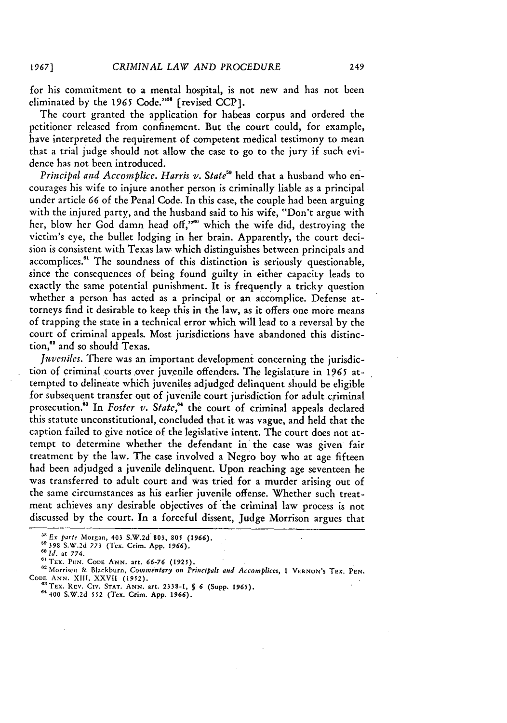*1967]*

for his commitment to a mental hospital, is not new and has not been eliminated by the 1965 Code."<sup>58</sup> [revised CCP].

The court granted the application for habeas corpus and ordered the petitioner released from confinement. But the court could, for example, have interpreted the requirement of competent medical testimony to mean that a trial judge should not allow the case to go to the jury if such evidence has not been introduced.

*Principal and Accomplice. Harris v. State"* **held** that a husband who encourages his wife to injure another person is criminally liable as a principal under article *66* of the Penal Code. In this case, the couple had been arguing with the injured party, and the husband said to his wife, "Don't argue with her, blow her God damn head off,"<sup>60</sup> which the wife did, destroying the victim's eye, the bullet lodging in her brain. Apparently, the court decision is consistent with Texas law which distinguishes between principals and accomplices."' The soundness of this distinction is seriously questionable, since the consequences of being found guilty in either capacity leads to exactly the same potential punishment. It is frequently a tricky question whether a person has acted as a principal or an accomplice. Defense attorneys find it desirable to keep this in the law, as it offers one more means of trapping the state in a technical error which will lead to a reversal by the court of criminal appeals. Most jurisdictions have abandoned this distinction,<sup>62</sup> and so should Texas.

*Juveniles*. There was an important development concerning the jurisdiction **of** criminal courts over juvenile offenders. The legislature in 1965 attempted to delineate which juveniles adjudged delinquent should be eligible for subsequent transfer out **of** juvenile court jurisdiction for adult criminal prosecution." In *Foster v. State,"* the court of criminal appeals declared this statute unconstitutional, concluded that it was vague, and held that the caption failed to give notice of the legislative intent. The court does not attempt to determine whether the defendant in the case was given fair treatment by the law. The case involved a Negro boy who at age fifteen had been adjudged a juvenile delinquent. Upon reaching age seventeen he was transferred to adult court and was tried for a murder arising out of the same circumstances as his earlier juvenile offense. Whether such treatment achieves any desirable objectives of the criminal law process is not discussed by the court. In a forceful dissent, Judge Morrison argues that

*I.* at **774.**

*Ex parte* Morgan, 403 **S.W.2d 803, 805** *(1966).*

**<sup>&</sup>quot;398** S.W.2d *773* (Tex. Crim. **App. 1966).**

**<sup>06</sup>** Trx. **PN.** CoDE **ANN.** art. **66-76 (1925).**

**<sup>&</sup>quot;6** Morrison & Blackburn, *Commentary on Principals and Accomplices,* **1** V1.RNON'S TEX. **PEN.** CODE **ANN. XIII, XXVII (1952).** <sup>65</sup> TEX. REv. **CIv. STAT. ANN.** art. **2338-1, § 6** (Supp. **1965).** <sup>64400</sup>**S.W.2d** *552* (Tex. **Crim. App. 1966).**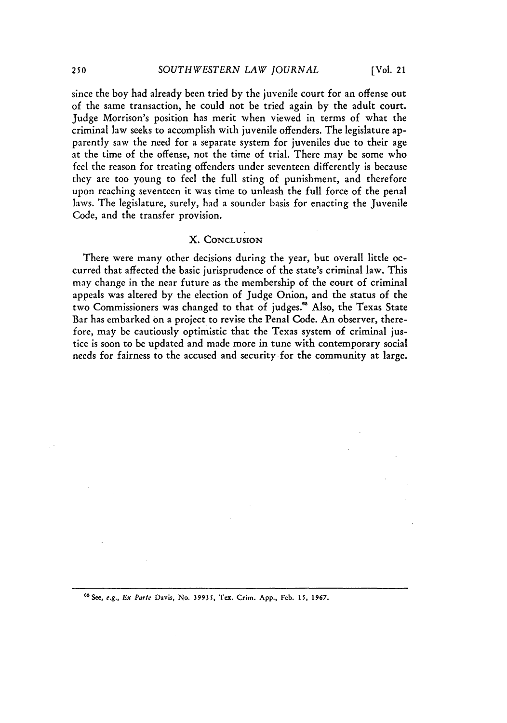since the boy had already been tried by the juvenile court for an offense out of the same transaction, he could not be tried again by the adult court. Judge Morrison's position has merit when viewed in terms of what the criminal law seeks to accomplish with juvenile offenders. The legislature apparently saw the need for a separate system for juveniles due to their age at the time of the offense, not the time of trial. There may be some who feel the reason for treating offenders under seventeen differently is because they are too young to feel the full sting of punishment, and therefore upon reaching seventeen it was time to unleash the full force of the penal laws. The legislature, surely, had a sounder basis for enacting the Juvenile Code, and the transfer provision.

#### X. **CONCLUSION**

There were many other decisions during the year, but overall little occurred that affected the basic jurisprudence of the state's criminal law. This may change in the near future as the membership of the court of criminal appeals was altered by the election of Judge Onion, and the status of the two Commissioners was changed to that of judges." Also, the Texas State Bar has embarked on a project to revise the Penal Code. An observer, therefore, may be cautiously optimistic that the Texas system of criminal justice is soon to be updated and made more in tune with contemporary social needs for fairness to the accused and security for the community at large.

"'See, *e.g., Ex Parte* Davis, No. *39935,* Tex. Crim. **App.,** Feb. *15,* **1967.**